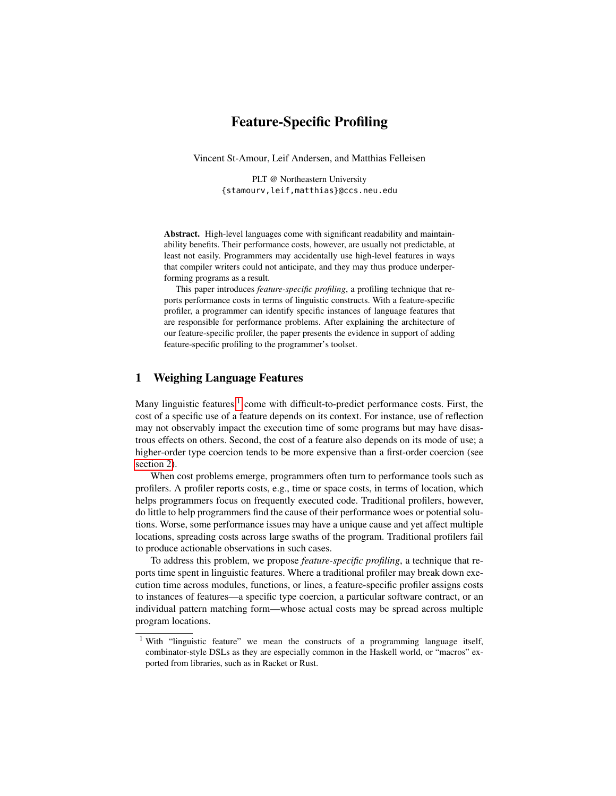# Feature-Specific Profiling

Vincent St-Amour, Leif Andersen, and Matthias Felleisen

PLT @ Northeastern University {stamourv,leif,matthias}@ccs.neu.edu

Abstract. High-level languages come with significant readability and maintainability benefits. Their performance costs, however, are usually not predictable, at least not easily. Programmers may accidentally use high-level features in ways that compiler writers could not anticipate, and they may thus produce underperforming programs as a result.

This paper introduces *feature-specific profiling*, a profiling technique that reports performance costs in terms of linguistic constructs. With a feature-specific profiler, a programmer can identify specific instances of language features that are responsible for performance problems. After explaining the architecture of our feature-specific profiler, the paper presents the evidence in support of adding feature-specific profiling to the programmer's toolset.

### 1 Weighing Language Features

Many linguistic features,<sup>[1](#page-0-0)</sup> come with difficult-to-predict performance costs. First, the cost of a specific use of a feature depends on its context. For instance, use of reflection may not observably impact the execution time of some programs but may have disastrous effects on others. Second, the cost of a feature also depends on its mode of use; a higher-order type coercion tends to be more expensive than a first-order coercion (see [section 2\)](#page-1-0).

When cost problems emerge, programmers often turn to performance tools such as profilers. A profiler reports costs, e.g., time or space costs, in terms of location, which helps programmers focus on frequently executed code. Traditional profilers, however, do little to help programmers find the cause of their performance woes or potential solutions. Worse, some performance issues may have a unique cause and yet affect multiple locations, spreading costs across large swaths of the program. Traditional profilers fail to produce actionable observations in such cases.

To address this problem, we propose *feature-specific profiling*, a technique that reports time spent in linguistic features. Where a traditional profiler may break down execution time across modules, functions, or lines, a feature-specific profiler assigns costs to instances of features—a specific type coercion, a particular software contract, or an individual pattern matching form—whose actual costs may be spread across multiple program locations.

<span id="page-0-0"></span><sup>&</sup>lt;sup>1</sup> With "linguistic feature" we mean the constructs of a programming language itself, combinator-style DSLs as they are especially common in the Haskell world, or "macros" exported from libraries, such as in Racket or Rust.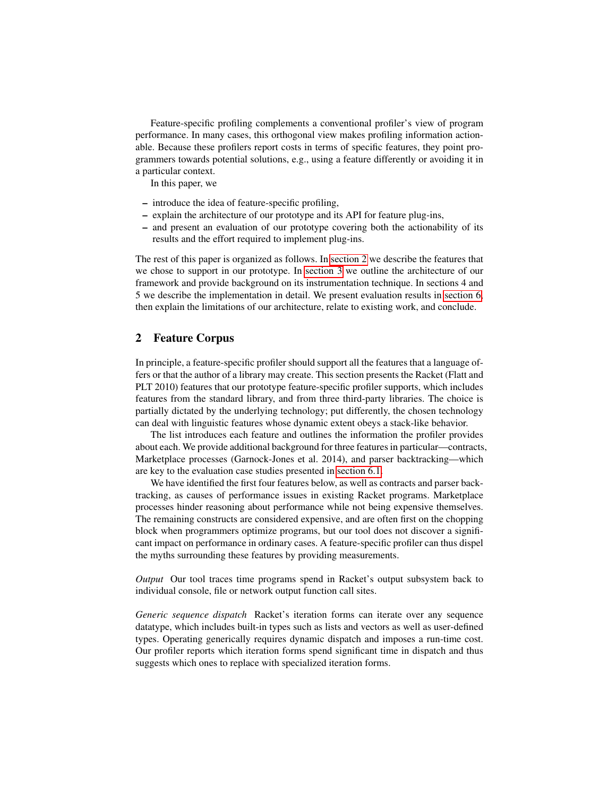Feature-specific profiling complements a conventional profiler's view of program performance. In many cases, this orthogonal view makes profiling information actionable. Because these profilers report costs in terms of specific features, they point programmers towards potential solutions, e.g., using a feature differently or avoiding it in a particular context.

In this paper, we

- introduce the idea of feature-specific profiling,
- explain the architecture of our prototype and its API for feature plug-ins,
- and present an evaluation of our prototype covering both the actionability of its results and the effort required to implement plug-ins.

The rest of this paper is organized as follows. In [section 2](#page-1-0) we describe the features that we chose to support in our prototype. In [section 3](#page-4-0) we outline the architecture of our framework and provide background on its instrumentation technique. In sections 4 and 5 we describe the implementation in detail. We present evaluation results in [section 6,](#page-12-0) then explain the limitations of our architecture, relate to existing work, and conclude.

## <span id="page-1-0"></span>2 Feature Corpus

In principle, a feature-specific profiler should support all the features that a language offers or that the author of a library may create. This section presents the Racket (Flatt and PLT 2010) features that our prototype feature-specific profiler supports, which includes features from the standard library, and from three third-party libraries. The choice is partially dictated by the underlying technology; put differently, the chosen technology can deal with linguistic features whose dynamic extent obeys a stack-like behavior.

The list introduces each feature and outlines the information the profiler provides about each. We provide additional background for three features in particular—contracts, Marketplace processes (Garnock-Jones et al. 2014), and parser backtracking—which are key to the evaluation case studies presented in [section 6.1.](#page-12-1)

We have identified the first four features below, as well as contracts and parser backtracking, as causes of performance issues in existing Racket programs. Marketplace processes hinder reasoning about performance while not being expensive themselves. The remaining constructs are considered expensive, and are often first on the chopping block when programmers optimize programs, but our tool does not discover a significant impact on performance in ordinary cases. A feature-specific profiler can thus dispel the myths surrounding these features by providing measurements.

*Output* Our tool traces time programs spend in Racket's output subsystem back to individual console, file or network output function call sites.

*Generic sequence dispatch* Racket's iteration forms can iterate over any sequence datatype, which includes built-in types such as lists and vectors as well as user-defined types. Operating generically requires dynamic dispatch and imposes a run-time cost. Our profiler reports which iteration forms spend significant time in dispatch and thus suggests which ones to replace with specialized iteration forms.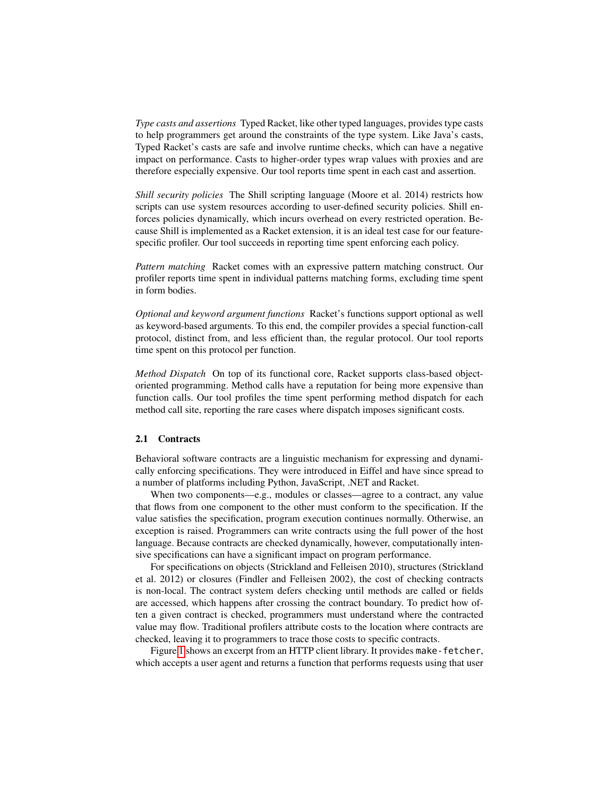*Type casts and assertions* Typed Racket, like other typed languages, provides type casts to help programmers get around the constraints of the type system. Like Java's casts, Typed Racket's casts are safe and involve runtime checks, which can have a negative impact on performance. Casts to higher-order types wrap values with proxies and are therefore especially expensive. Our tool reports time spent in each cast and assertion.

*Shill security policies* The Shill scripting language (Moore et al. 2014) restricts how scripts can use system resources according to user-defined security policies. Shill enforces policies dynamically, which incurs overhead on every restricted operation. Because Shill is implemented as a Racket extension, it is an ideal test case for our featurespecific profiler. Our tool succeeds in reporting time spent enforcing each policy.

*Pattern matching* Racket comes with an expressive pattern matching construct. Our profiler reports time spent in individual patterns matching forms, excluding time spent in form bodies.

*Optional and keyword argument functions* Racket's functions support optional as well as keyword-based arguments. To this end, the compiler provides a special function-call protocol, distinct from, and less efficient than, the regular protocol. Our tool reports time spent on this protocol per function.

*Method Dispatch* On top of its functional core, Racket supports class-based objectoriented programming. Method calls have a reputation for being more expensive than function calls. Our tool profiles the time spent performing method dispatch for each method call site, reporting the rare cases where dispatch imposes significant costs.

#### 2.1 Contracts

Behavioral software contracts are a linguistic mechanism for expressing and dynamically enforcing specifications. They were introduced in Eiffel and have since spread to a number of platforms including Python, JavaScript, .NET and Racket.

When two components—e.g., modules or classes—agree to a contract, any value that flows from one component to the other must conform to the specification. If the value satisfies the specification, program execution continues normally. Otherwise, an exception is raised. Programmers can write contracts using the full power of the host language. Because contracts are checked dynamically, however, computationally intensive specifications can have a significant impact on program performance.

For specifications on objects (Strickland and Felleisen 2010), structures (Strickland et al. 2012) or closures (Findler and Felleisen 2002), the cost of checking contracts is non-local. The contract system defers checking until methods are called or fields are accessed, which happens after crossing the contract boundary. To predict how often a given contract is checked, programmers must understand where the contracted value may flow. Traditional profilers attribute costs to the location where contracts are checked, leaving it to programmers to trace those costs to specific contracts.

Figure [1](#page-3-0) shows an excerpt from an HTTP client library. It provides make-fetcher, which accepts a user agent and returns a function that performs requests using that user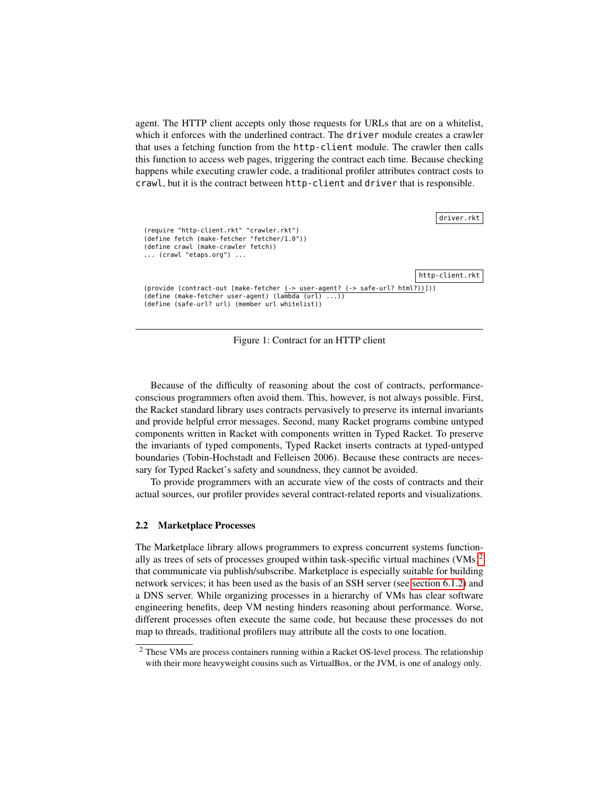agent. The HTTP client accepts only those requests for URLs that are on a whitelist, which it enforces with the underlined contract. The driver module creates a crawler that uses a fetching function from the http-client module. The crawler then calls this function to access web pages, triggering the contract each time. Because checking happens while executing crawler code, a traditional profiler attributes contract costs to crawl, but it is the contract between http-client and driver that is responsible.

<span id="page-3-0"></span>

|                                                                                                                                                                                            | driver.rkt      |
|--------------------------------------------------------------------------------------------------------------------------------------------------------------------------------------------|-----------------|
| (require "http-client.rkt" "crawler.rkt")<br>(define fetch (make-fetcher "fetcher/1.0"))<br>(define crawl (make-crawler fetch))<br>$\ldots$ (crawl "etaps.org") $\ldots$                   |                 |
|                                                                                                                                                                                            | http-client.rkt |
| $(prouide (contract-out   make-fetcher (-> user-agent? (-> safe-url? htm!?))))$<br>$(define (make-fetcher user-agent) (lambda (url) ))$<br>(define (safe-url? url) (member url whitelist)) |                 |

Figure 1: Contract for an HTTP client

Because of the difficulty of reasoning about the cost of contracts, performanceconscious programmers often avoid them. This, however, is not always possible. First, the Racket standard library uses contracts pervasively to preserve its internal invariants and provide helpful error messages. Second, many Racket programs combine untyped components written in Racket with components written in Typed Racket. To preserve the invariants of typed components, Typed Racket inserts contracts at typed-untyped boundaries (Tobin-Hochstadt and Felleisen 2006). Because these contracts are necessary for Typed Racket's safety and soundness, they cannot be avoided.

To provide programmers with an accurate view of the costs of contracts and their actual sources, our profiler provides several contract-related reports and visualizations.

#### 2.2 Marketplace Processes

The Marketplace library allows programmers to express concurrent systems functionally as trees of sets of processes grouped within task-specific virtual machines  $(VMs)^2$  $(VMs)^2$ that communicate via publish/subscribe. Marketplace is especially suitable for building network services; it has been used as the basis of an SSH server (see [section 6.1.2\)](#page-13-0) and a DNS server. While organizing processes in a hierarchy of VMs has clear software engineering benefits, deep VM nesting hinders reasoning about performance. Worse, different processes often execute the same code, but because these processes do not map to threads, traditional profilers may attribute all the costs to one location.

<span id="page-3-1"></span><sup>&</sup>lt;sup>2</sup> These VMs are process containers running within a Racket OS-level process. The relationship with their more heavyweight cousins such as VirtualBox, or the JVM, is one of analogy only.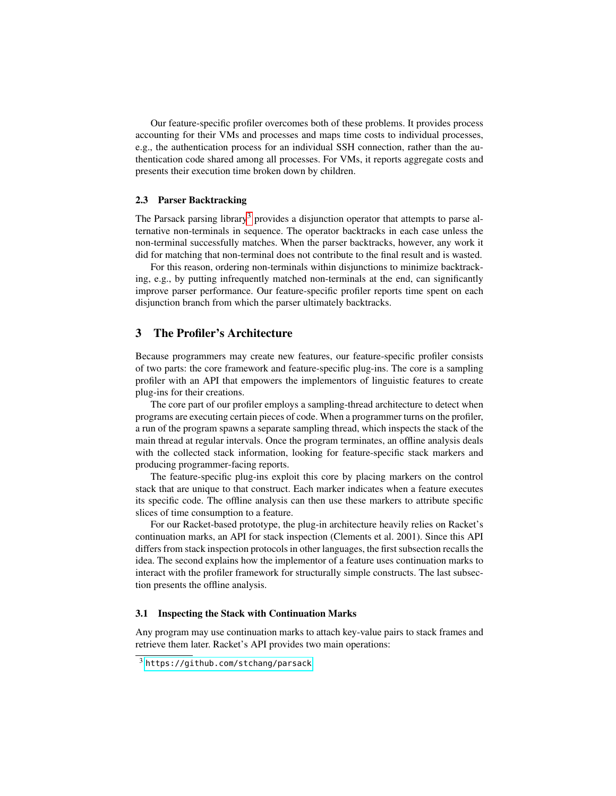Our feature-specific profiler overcomes both of these problems. It provides process accounting for their VMs and processes and maps time costs to individual processes, e.g., the authentication process for an individual SSH connection, rather than the authentication code shared among all processes. For VMs, it reports aggregate costs and presents their execution time broken down by children.

#### 2.3 Parser Backtracking

The Parsack parsing library<sup>[3](#page-4-1)</sup> provides a disjunction operator that attempts to parse alternative non-terminals in sequence. The operator backtracks in each case unless the non-terminal successfully matches. When the parser backtracks, however, any work it did for matching that non-terminal does not contribute to the final result and is wasted.

For this reason, ordering non-terminals within disjunctions to minimize backtracking, e.g., by putting infrequently matched non-terminals at the end, can significantly improve parser performance. Our feature-specific profiler reports time spent on each disjunction branch from which the parser ultimately backtracks.

## <span id="page-4-0"></span>3 The Profiler's Architecture

Because programmers may create new features, our feature-specific profiler consists of two parts: the core framework and feature-specific plug-ins. The core is a sampling profiler with an API that empowers the implementors of linguistic features to create plug-ins for their creations.

The core part of our profiler employs a sampling-thread architecture to detect when programs are executing certain pieces of code. When a programmer turns on the profiler, a run of the program spawns a separate sampling thread, which inspects the stack of the main thread at regular intervals. Once the program terminates, an offline analysis deals with the collected stack information, looking for feature-specific stack markers and producing programmer-facing reports.

The feature-specific plug-ins exploit this core by placing markers on the control stack that are unique to that construct. Each marker indicates when a feature executes its specific code. The offline analysis can then use these markers to attribute specific slices of time consumption to a feature.

For our Racket-based prototype, the plug-in architecture heavily relies on Racket's continuation marks, an API for stack inspection (Clements et al. 2001). Since this API differs from stack inspection protocols in other languages, the first subsection recalls the idea. The second explains how the implementor of a feature uses continuation marks to interact with the profiler framework for structurally simple constructs. The last subsection presents the offline analysis.

#### 3.1 Inspecting the Stack with Continuation Marks

Any program may use continuation marks to attach key-value pairs to stack frames and retrieve them later. Racket's API provides two main operations:

<span id="page-4-1"></span><sup>3</sup> <https://github.com/stchang/parsack>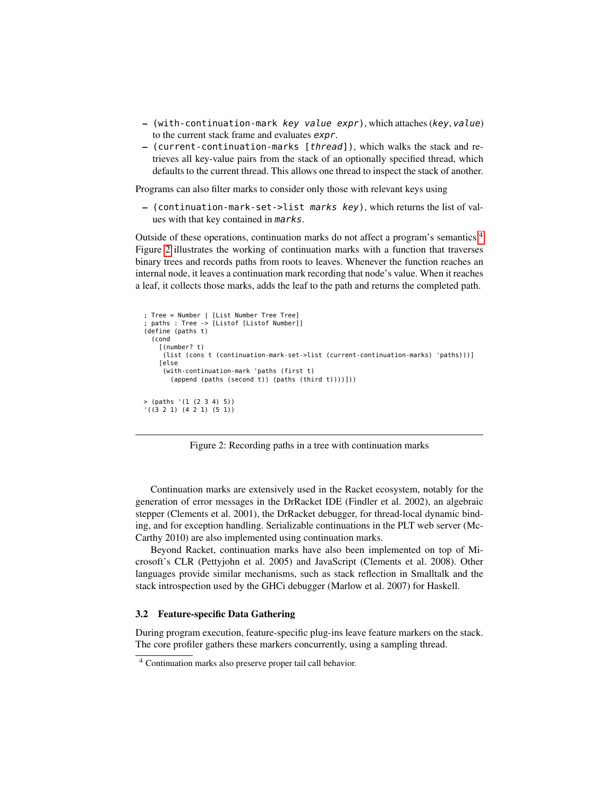- (with-continuation-mark key value expr), which attaches (key, value) to the current stack frame and evaluates expr.
- (current-continuation-marks [thread]), which walks the stack and retrieves all key-value pairs from the stack of an optionally specified thread, which defaults to the current thread. This allows one thread to inspect the stack of another.

Programs can also filter marks to consider only those with relevant keys using

 $-$  (continuation-mark-set->list marks key), which returns the list of values with that key contained in marks.

Outside of these operations, continuation marks do not affect a program's semantics.[4](#page-5-0) Figure [2](#page-5-1) illustrates the working of continuation marks with a function that traverses binary trees and records paths from roots to leaves. Whenever the function reaches an internal node, it leaves a continuation mark recording that node's value. When it reaches a leaf, it collects those marks, adds the leaf to the path and returns the completed path.

```
; Tree = Number | [List Number Tree Tree]
 ; paths : Tree -> [Listof [Listof Number]]
(define (paths t)
  (cond
   [(number? t)
     (list (cons t (continuation-mark-set->list (current-continuation-marks) 'paths)))]
    [else
     (with-continuation-mark 'paths (first t)
       (append (paths (second t)) (paths (third t))))]))
> (paths '(1 (2 3 4) 5))
'((3 2 1) (4 2 1) (5 1))
```
Figure 2: Recording paths in a tree with continuation marks

Continuation marks are extensively used in the Racket ecosystem, notably for the generation of error messages in the DrRacket IDE (Findler et al. 2002), an algebraic stepper (Clements et al. 2001), the DrRacket debugger, for thread-local dynamic binding, and for exception handling. Serializable continuations in the PLT web server (Mc-Carthy 2010) are also implemented using continuation marks.

Beyond Racket, continuation marks have also been implemented on top of Microsoft's CLR (Pettyjohn et al. 2005) and JavaScript (Clements et al. 2008). Other languages provide similar mechanisms, such as stack reflection in Smalltalk and the stack introspection used by the GHCi debugger (Marlow et al. 2007) for Haskell.

#### <span id="page-5-2"></span>3.2 Feature-specific Data Gathering

During program execution, feature-specific plug-ins leave feature markers on the stack. The core profiler gathers these markers concurrently, using a sampling thread.

<span id="page-5-0"></span><sup>4</sup> Continuation marks also preserve proper tail call behavior.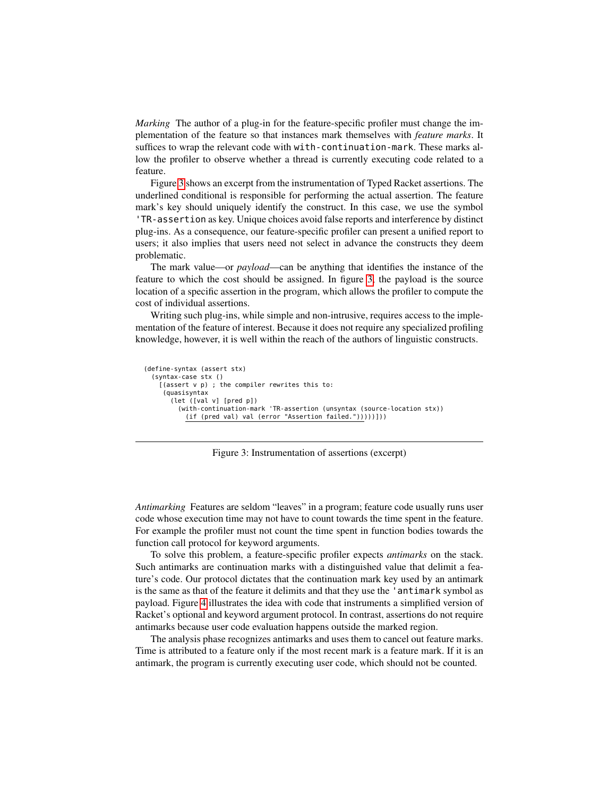*Marking* The author of a plug-in for the feature-specific profiler must change the implementation of the feature so that instances mark themselves with *feature marks*. It suffices to wrap the relevant code with with-continuation-mark. These marks allow the profiler to observe whether a thread is currently executing code related to a feature.

Figure [3](#page-6-0) shows an excerpt from the instrumentation of Typed Racket assertions. The underlined conditional is responsible for performing the actual assertion. The feature mark's key should uniquely identify the construct. In this case, we use the symbol 'TR-assertion as key. Unique choices avoid false reports and interference by distinct plug-ins. As a consequence, our feature-specific profiler can present a unified report to users; it also implies that users need not select in advance the constructs they deem problematic.

The mark value—or *payload*—can be anything that identifies the instance of the feature to which the cost should be assigned. In figure [3,](#page-6-0) the payload is the source location of a specific assertion in the program, which allows the profiler to compute the cost of individual assertions.

Writing such plug-ins, while simple and non-intrusive, requires access to the implementation of the feature of interest. Because it does not require any specialized profiling knowledge, however, it is well within the reach of the authors of linguistic constructs.

```
(define-syntax (assert stx)
  (syntax-case stx ()
    [(assert v p) ; the compiler rewrites this to:
     (quasisyntax
       (let ([val v] [pred p])
         (with-continuation-mark 'TR-assertion (unsyntax (source-location stx))
           (if (pred val) val (error "Assertion failed.")))))]))
```
Figure 3: Instrumentation of assertions (excerpt)

*Antimarking* Features are seldom "leaves" in a program; feature code usually runs user code whose execution time may not have to count towards the time spent in the feature. For example the profiler must not count the time spent in function bodies towards the function call protocol for keyword arguments.

To solve this problem, a feature-specific profiler expects *antimarks* on the stack. Such antimarks are continuation marks with a distinguished value that delimit a feature's code. Our protocol dictates that the continuation mark key used by an antimark is the same as that of the feature it delimits and that they use the 'antimark symbol as payload. Figure [4](#page-7-0) illustrates the idea with code that instruments a simplified version of Racket's optional and keyword argument protocol. In contrast, assertions do not require antimarks because user code evaluation happens outside the marked region.

The analysis phase recognizes antimarks and uses them to cancel out feature marks. Time is attributed to a feature only if the most recent mark is a feature mark. If it is an antimark, the program is currently executing user code, which should not be counted.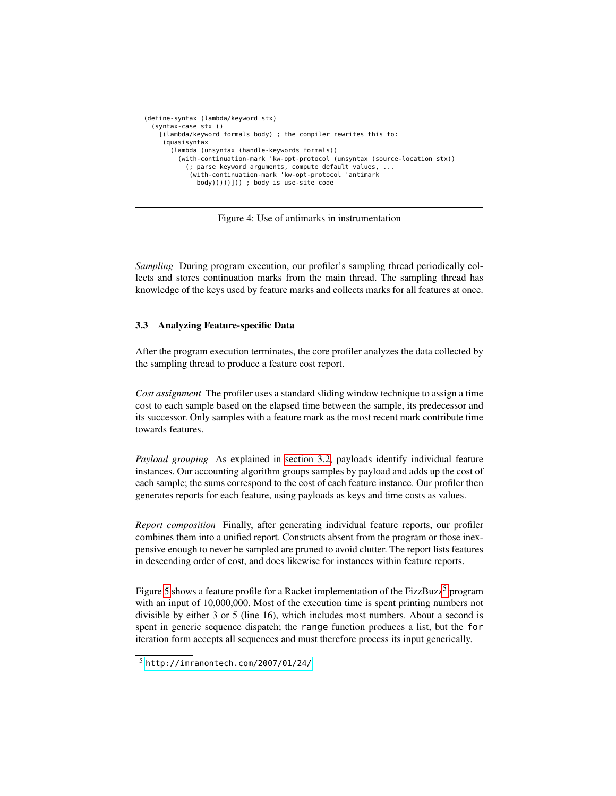```
(define-syntax (lambda/keyword stx)
  (syntax-case stx ()
    [(lambda/keyword formals body) ; the compiler rewrites this to:
     (quasisyntax
       (lambda (unsyntax (handle-keywords formals))
         (with-continuation-mark 'kw-opt-protocol (unsyntax (source-location stx))
           (; parse keyword arguments, compute default values, ...
            (with-continuation-mark 'kw-opt-protocol 'antimark
              body)))))])) ; body is use-site code
```
Figure 4: Use of antimarks in instrumentation

*Sampling* During program execution, our profiler's sampling thread periodically collects and stores continuation marks from the main thread. The sampling thread has knowledge of the keys used by feature marks and collects marks for all features at once.

### <span id="page-7-2"></span>3.3 Analyzing Feature-specific Data

After the program execution terminates, the core profiler analyzes the data collected by the sampling thread to produce a feature cost report.

*Cost assignment* The profiler uses a standard sliding window technique to assign a time cost to each sample based on the elapsed time between the sample, its predecessor and its successor. Only samples with a feature mark as the most recent mark contribute time towards features.

*Payload grouping* As explained in [section 3.2,](#page-5-2) payloads identify individual feature instances. Our accounting algorithm groups samples by payload and adds up the cost of each sample; the sums correspond to the cost of each feature instance. Our profiler then generates reports for each feature, using payloads as keys and time costs as values.

*Report composition* Finally, after generating individual feature reports, our profiler combines them into a unified report. Constructs absent from the program or those inexpensive enough to never be sampled are pruned to avoid clutter. The report lists features in descending order of cost, and does likewise for instances within feature reports.

Figure [5](#page-8-0) shows a feature profile for a Racket implementation of the FizzBuzz<sup>[5](#page-7-1)</sup> program with an input of 10,000,000. Most of the execution time is spent printing numbers not divisible by either 3 or 5 (line 16), which includes most numbers. About a second is spent in generic sequence dispatch; the range function produces a list, but the for iteration form accepts all sequences and must therefore process its input generically.

<span id="page-7-1"></span><sup>5</sup> <http://imranontech.com/2007/01/24/>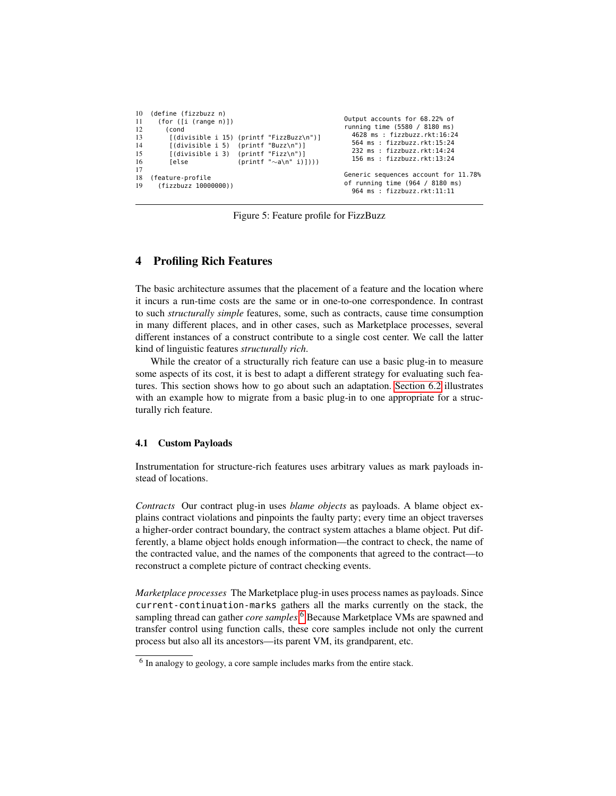```
10 (define (fizzbuzz n)<br>11 (for ([i (range n)
11 (for ([i (range n)])
\begin{array}{cc} 12 & \text{(cond} \\ 13 & \text{(div)} \end{array}13 [(divisible i 15) (printf "FizzBuzz\n")]
14 [(divisible i 5) (printf "Buzz\n")]
15 [(divisible i 3) (printf "Fizz\n")]
16 [else (printf "∼a\n" i)])))
\frac{17}{18}18 (feature-profile<br>19 (fizzbuzz 1000
       19 (fizzbuzz 10000000))
                                                                           Output accounts for 68.22% of
                                                                           running time (5580 / 8180 ms)
                                                                             4628 ms : fizzbuzz.rkt:16:24
                                                                             564 ms : fizzbuzz.rkt:15:24
                                                                             232 ms : fizzbuzz.rkt:14:24
                                                                             156 ms : fizzbuzz.rkt:13:24
                                                                           Generic sequences account for 11.78%
                                                                           of running time (964 / 8180 ms)
                                                                             964 ms : fizzbuzz.rkt:11:11
```
Figure 5: Feature profile for FizzBuzz

## 4 Profiling Rich Features

The basic architecture assumes that the placement of a feature and the location where it incurs a run-time costs are the same or in one-to-one correspondence. In contrast to such *structurally simple* features, some, such as contracts, cause time consumption in many different places, and in other cases, such as Marketplace processes, several different instances of a construct contribute to a single cost center. We call the latter kind of linguistic features *structurally rich*.

While the creator of a structurally rich feature can use a basic plug-in to measure some aspects of its cost, it is best to adapt a different strategy for evaluating such features. This section shows how to go about such an adaptation. [Section 6.2](#page-15-0) illustrates with an example how to migrate from a basic plug-in to one appropriate for a structurally rich feature.

### 4.1 Custom Payloads

Instrumentation for structure-rich features uses arbitrary values as mark payloads instead of locations.

*Contracts* Our contract plug-in uses *blame objects* as payloads. A blame object explains contract violations and pinpoints the faulty party; every time an object traverses a higher-order contract boundary, the contract system attaches a blame object. Put differently, a blame object holds enough information—the contract to check, the name of the contracted value, and the names of the components that agreed to the contract—to reconstruct a complete picture of contract checking events.

*Marketplace processes* The Marketplace plug-in uses process names as payloads. Since current-continuation-marks gathers all the marks currently on the stack, the sampling thread can gather *core samples*. [6](#page-8-1) Because Marketplace VMs are spawned and transfer control using function calls, these core samples include not only the current process but also all its ancestors—its parent VM, its grandparent, etc.

<span id="page-8-1"></span><sup>&</sup>lt;sup>6</sup> In analogy to geology, a core sample includes marks from the entire stack.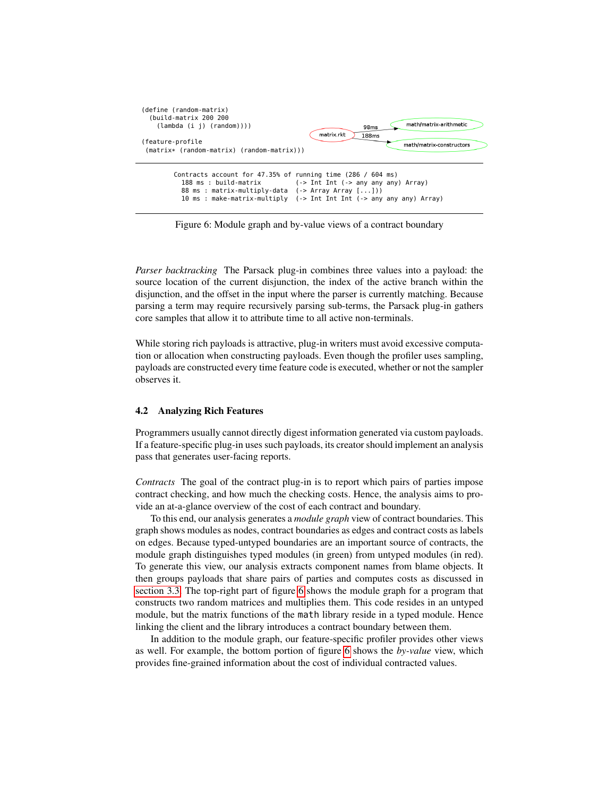<span id="page-9-0"></span>

Figure 6: Module graph and by-value views of a contract boundary

*Parser backtracking* The Parsack plug-in combines three values into a payload: the source location of the current disjunction, the index of the active branch within the disjunction, and the offset in the input where the parser is currently matching. Because parsing a term may require recursively parsing sub-terms, the Parsack plug-in gathers core samples that allow it to attribute time to all active non-terminals.

While storing rich payloads is attractive, plug-in writers must avoid excessive computation or allocation when constructing payloads. Even though the profiler uses sampling, payloads are constructed every time feature code is executed, whether or not the sampler observes it.

#### 4.2 Analyzing Rich Features

Programmers usually cannot directly digest information generated via custom payloads. If a feature-specific plug-in uses such payloads, its creator should implement an analysis pass that generates user-facing reports.

*Contracts* The goal of the contract plug-in is to report which pairs of parties impose contract checking, and how much the checking costs. Hence, the analysis aims to provide an at-a-glance overview of the cost of each contract and boundary.

To this end, our analysis generates a *module graph* view of contract boundaries. This graph shows modules as nodes, contract boundaries as edges and contract costs as labels on edges. Because typed-untyped boundaries are an important source of contracts, the module graph distinguishes typed modules (in green) from untyped modules (in red). To generate this view, our analysis extracts component names from blame objects. It then groups payloads that share pairs of parties and computes costs as discussed in [section 3.3.](#page-7-2) The top-right part of figure [6](#page-9-0) shows the module graph for a program that constructs two random matrices and multiplies them. This code resides in an untyped module, but the matrix functions of the math library reside in a typed module. Hence linking the client and the library introduces a contract boundary between them.

In addition to the module graph, our feature-specific profiler provides other views as well. For example, the bottom portion of figure [6](#page-9-0) shows the *by-value* view, which provides fine-grained information about the cost of individual contracted values.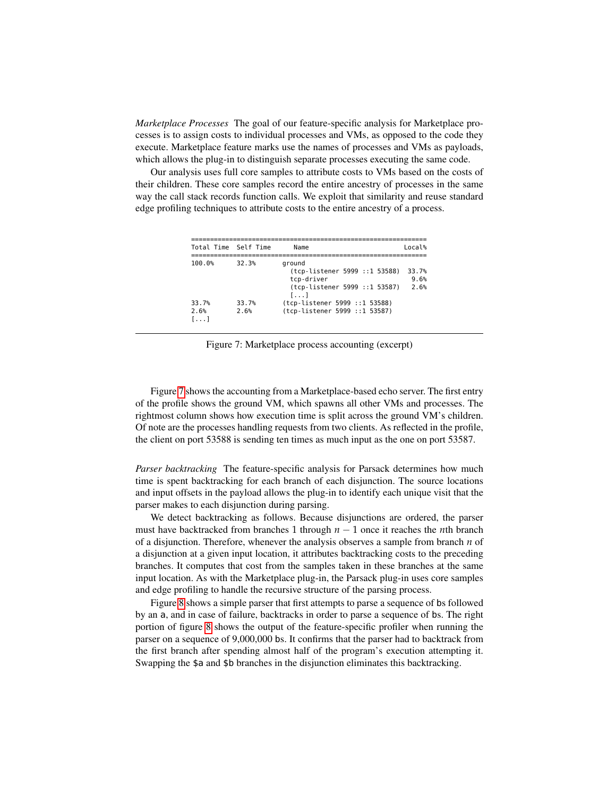*Marketplace Processes* The goal of our feature-specific analysis for Marketplace processes is to assign costs to individual processes and VMs, as opposed to the code they execute. Marketplace feature marks use the names of processes and VMs as payloads, which allows the plug-in to distinguish separate processes executing the same code.

Our analysis uses full core samples to attribute costs to VMs based on the costs of their children. These core samples record the entire ancestry of processes in the same way the call stack records function calls. We exploit that similarity and reuse standard edge profiling techniques to attribute costs to the entire ancestry of a process.

<span id="page-10-0"></span>

| Total Time Self Time    |               | Name                                                                                         | Local%                |
|-------------------------|---------------|----------------------------------------------------------------------------------------------|-----------------------|
| 100.0%                  | 32.3%         | ground<br>(tcp-listener 5999 ::1 53588)<br>tcp-driver<br>(tcp-listener 5999 ::1 53587)<br>11 | 33.7%<br>9.6%<br>2.6% |
| 33.7%<br>2.6%<br>[., .] | 33.7%<br>2.6% | (tcp-listener 5999 ::1 53588)<br>(tcp-listener 5999 ::1 53587)                               |                       |

Figure 7: Marketplace process accounting (excerpt)

Figure [7](#page-10-0) shows the accounting from a Marketplace-based echo server. The first entry of the profile shows the ground VM, which spawns all other VMs and processes. The rightmost column shows how execution time is split across the ground VM's children. Of note are the processes handling requests from two clients. As reflected in the profile, the client on port 53588 is sending ten times as much input as the one on port 53587.

*Parser backtracking* The feature-specific analysis for Parsack determines how much time is spent backtracking for each branch of each disjunction. The source locations and input offsets in the payload allows the plug-in to identify each unique visit that the parser makes to each disjunction during parsing.

We detect backtracking as follows. Because disjunctions are ordered, the parser must have backtracked from branches 1 through *n* − 1 once it reaches the *n*th branch of a disjunction. Therefore, whenever the analysis observes a sample from branch *n* of a disjunction at a given input location, it attributes backtracking costs to the preceding branches. It computes that cost from the samples taken in these branches at the same input location. As with the Marketplace plug-in, the Parsack plug-in uses core samples and edge profiling to handle the recursive structure of the parsing process.

Figure [8](#page-11-0) shows a simple parser that first attempts to parse a sequence of bs followed by an a, and in case of failure, backtracks in order to parse a sequence of bs. The right portion of figure [8](#page-11-0) shows the output of the feature-specific profiler when running the parser on a sequence of 9,000,000 bs. It confirms that the parser had to backtrack from the first branch after spending almost half of the program's execution attempting it. Swapping the \$a and \$b branches in the disjunction eliminates this backtracking.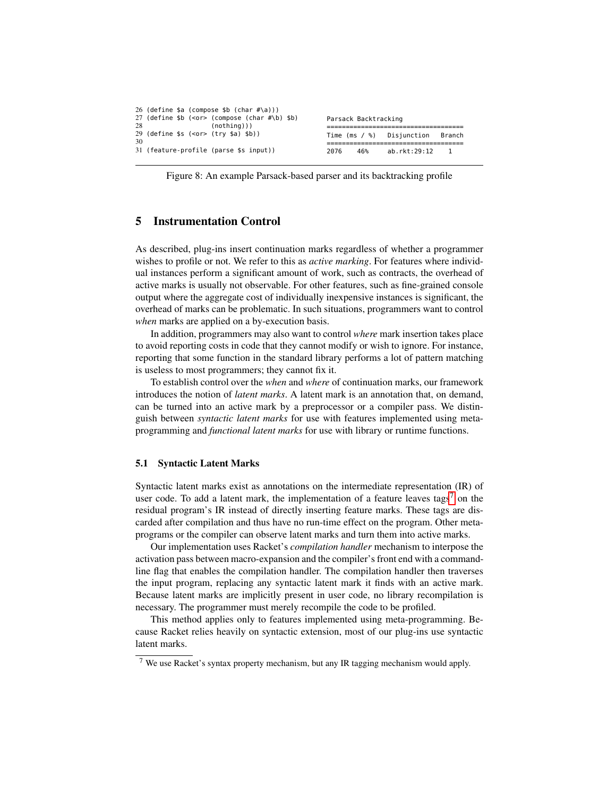<span id="page-11-0"></span>

| 26 (define \$a (compose \$b (char $#$ \a)))<br>27 (define $sb$ ( <or> (compose (char <math>#</math>\b) <math>sb</math>)<br/><math>(nothin)</math>)<br/>28</or> | Parsack Backtracking |                             |        |  |
|----------------------------------------------------------------------------------------------------------------------------------------------------------------|----------------------|-----------------------------|--------|--|
| 29 (define $$s$ ( <or> (try <math>\$a)</math> <math>\$b)</math>)<br/>30</or>                                                                                   |                      | Time $(ms / %)$ Disjunction | Branch |  |
| 31 (feature-profile (parse \$s input))                                                                                                                         | 2076<br>46%          | ab.rkt:29:12                | -1     |  |

Figure 8: An example Parsack-based parser and its backtracking profile

## 5 Instrumentation Control

As described, plug-ins insert continuation marks regardless of whether a programmer wishes to profile or not. We refer to this as *active marking*. For features where individual instances perform a significant amount of work, such as contracts, the overhead of active marks is usually not observable. For other features, such as fine-grained console output where the aggregate cost of individually inexpensive instances is significant, the overhead of marks can be problematic. In such situations, programmers want to control *when* marks are applied on a by-execution basis.

In addition, programmers may also want to control *where* mark insertion takes place to avoid reporting costs in code that they cannot modify or wish to ignore. For instance, reporting that some function in the standard library performs a lot of pattern matching is useless to most programmers; they cannot fix it.

To establish control over the *when* and *where* of continuation marks, our framework introduces the notion of *latent marks*. A latent mark is an annotation that, on demand, can be turned into an active mark by a preprocessor or a compiler pass. We distinguish between *syntactic latent marks* for use with features implemented using metaprogramming and *functional latent marks* for use with library or runtime functions.

#### 5.1 Syntactic Latent Marks

Syntactic latent marks exist as annotations on the intermediate representation (IR) of user code. To add a latent mark, the implementation of a feature leaves tags<sup>[7](#page-11-1)</sup> on the residual program's IR instead of directly inserting feature marks. These tags are discarded after compilation and thus have no run-time effect on the program. Other metaprograms or the compiler can observe latent marks and turn them into active marks.

Our implementation uses Racket's *compilation handler* mechanism to interpose the activation pass between macro-expansion and the compiler's front end with a commandline flag that enables the compilation handler. The compilation handler then traverses the input program, replacing any syntactic latent mark it finds with an active mark. Because latent marks are implicitly present in user code, no library recompilation is necessary. The programmer must merely recompile the code to be profiled.

This method applies only to features implemented using meta-programming. Because Racket relies heavily on syntactic extension, most of our plug-ins use syntactic latent marks.

<span id="page-11-1"></span><sup>7</sup> We use Racket's syntax property mechanism, but any IR tagging mechanism would apply.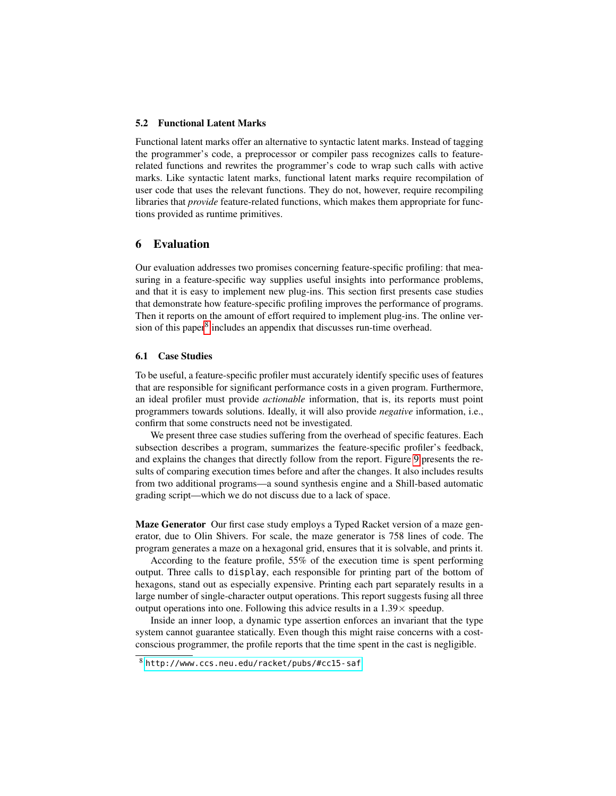#### 5.2 Functional Latent Marks

Functional latent marks offer an alternative to syntactic latent marks. Instead of tagging the programmer's code, a preprocessor or compiler pass recognizes calls to featurerelated functions and rewrites the programmer's code to wrap such calls with active marks. Like syntactic latent marks, functional latent marks require recompilation of user code that uses the relevant functions. They do not, however, require recompiling libraries that *provide* feature-related functions, which makes them appropriate for functions provided as runtime primitives.

### <span id="page-12-0"></span>6 Evaluation

Our evaluation addresses two promises concerning feature-specific profiling: that measuring in a feature-specific way supplies useful insights into performance problems, and that it is easy to implement new plug-ins. This section first presents case studies that demonstrate how feature-specific profiling improves the performance of programs. Then it reports on the amount of effort required to implement plug-ins. The online ver-sion of this paper<sup>[8](#page-12-2)</sup> includes an appendix that discusses run-time overhead.

#### <span id="page-12-1"></span>6.1 Case Studies

To be useful, a feature-specific profiler must accurately identify specific uses of features that are responsible for significant performance costs in a given program. Furthermore, an ideal profiler must provide *actionable* information, that is, its reports must point programmers towards solutions. Ideally, it will also provide *negative* information, i.e., confirm that some constructs need not be investigated.

We present three case studies suffering from the overhead of specific features. Each subsection describes a program, summarizes the feature-specific profiler's feedback, and explains the changes that directly follow from the report. Figure [9](#page-13-1) presents the results of comparing execution times before and after the changes. It also includes results from two additional programs—a sound synthesis engine and a Shill-based automatic grading script—which we do not discuss due to a lack of space.

Maze Generator Our first case study employs a Typed Racket version of a maze generator, due to Olin Shivers. For scale, the maze generator is 758 lines of code. The program generates a maze on a hexagonal grid, ensures that it is solvable, and prints it.

According to the feature profile, 55% of the execution time is spent performing output. Three calls to display, each responsible for printing part of the bottom of hexagons, stand out as especially expensive. Printing each part separately results in a large number of single-character output operations. This report suggests fusing all three output operations into one. Following this advice results in a  $1.39 \times$  speedup.

Inside an inner loop, a dynamic type assertion enforces an invariant that the type system cannot guarantee statically. Even though this might raise concerns with a costconscious programmer, the profile reports that the time spent in the cast is negligible.

<span id="page-12-2"></span><sup>8</sup> <http://www.ccs.neu.edu/racket/pubs/#cc15-saf>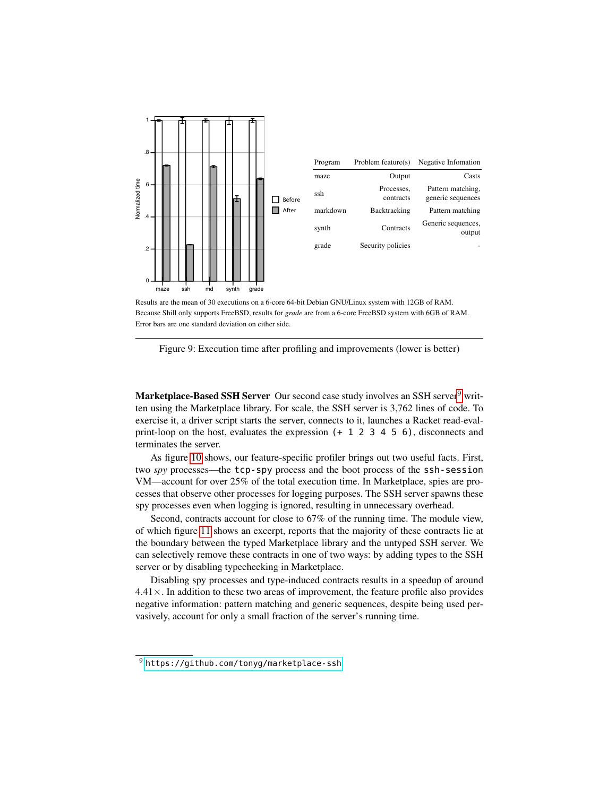<span id="page-13-1"></span>

Results are the mean of 30 executions on a 6-core 64-bit Debian GNU/Linux system with 12GB of RAM. Because Shill only supports FreeBSD, results for *grade* are from a 6-core FreeBSD system with 6GB of RAM. Error bars are one standard deviation on either side.

Figure 9: Execution time after profiling and improvements (lower is better)

<span id="page-13-0"></span>Marketplace-Based SSH Server Our second case study involves an SSH server<sup>9</sup> written using the Marketplace library. For scale, the SSH server is 3,762 lines of code. To exercise it, a driver script starts the server, connects to it, launches a Racket read-evalprint-loop on the host, evaluates the expression  $(+ 1 2 3 4 5 6)$ , disconnects and terminates the server.

As figure 10 shows, our feature-specific profiler brings out two useful facts. First, two spy processes—the tcp-spy process and the boot process of the ssh-session VM—account for over 25% of the total execution time. In Marketplace, spies are processes that observe other processes for logging purposes. The SSH server spawns these spy processes even when logging is ignored, resulting in unnecessary overhead.

Second, contracts account for close to 67% of the running time. The module view, of which figure 11 shows an excerpt, reports that the majority of these contracts lie at the boundary between the typed Marketplace library and the untyped SSH server. We can selectively remove these contracts in one of two ways: by adding types to the SSH server or by disabling typechecking in Marketplace.

Disabling spy processes and type-induced contracts results in a speedup of around  $4.41 \times$ . In addition to these two areas of improvement, the feature profile also provides negative information: pattern matching and generic sequences, despite being used pervasively, account for only a small fraction of the server's running time.

<span id="page-13-2"></span><sup>&</sup>lt;sup>9</sup> https://github.com/tonyg/marketplace-ssh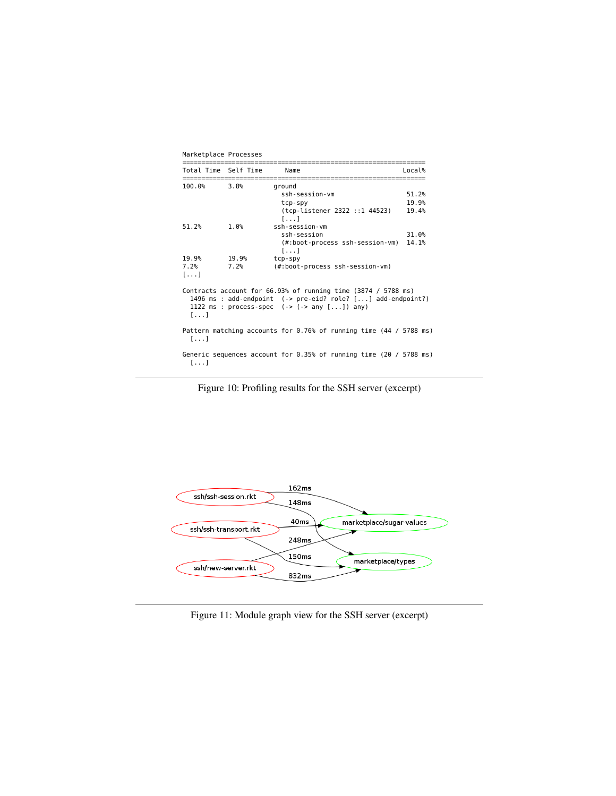Marketplace Processes

<span id="page-14-0"></span>

| Total Time Self Time |       | Name                                                                                                                                                                                             | Local% |
|----------------------|-------|--------------------------------------------------------------------------------------------------------------------------------------------------------------------------------------------------|--------|
| 100.0%               | 3.8%  | ground                                                                                                                                                                                           |        |
|                      |       | ssh-session-ym                                                                                                                                                                                   | 51.2%  |
|                      |       | tcp-spy                                                                                                                                                                                          | 19.9%  |
|                      |       | (tcp-listener 2322 ::1 44523)<br>11                                                                                                                                                              | 19.4%  |
| 51.2%                | 1.0%  | ssh-session-vm                                                                                                                                                                                   |        |
|                      |       | ssh-session                                                                                                                                                                                      | 31.0%  |
|                      |       | (#:boot-process ssh-session-vm) 14.1%<br>$[1 \ldots]$                                                                                                                                            |        |
| 19.9%                | 19.9% | tcp-spy                                                                                                                                                                                          |        |
| 7.2%<br>$[\ldots]$   | 7.2%  | (#:boot-process ssh-session-vm)                                                                                                                                                                  |        |
| $[\ldots]$           |       | Contracts account for $66.93\%$ of running time (3874 / 5788 ms)<br>1496 ms : add-endpoint $(->$ pre-eid? role? $[]$ add-endpoint?)<br>1122 ms : process-spec $(-)$ $(-)$ $\alpha$ any $[]$ any) |        |
| $[\ldots]$           |       | Pattern matching accounts for 0.76% of running time (44 / 5788 ms)                                                                                                                               |        |
| $[\ldots]$           |       | Generic sequences account for 0.35% of running time (20 / 5788 ms)                                                                                                                               |        |

Figure 10: Profiling results for the SSH server (excerpt)

<span id="page-14-1"></span>

Figure 11: Module graph view for the SSH server (excerpt)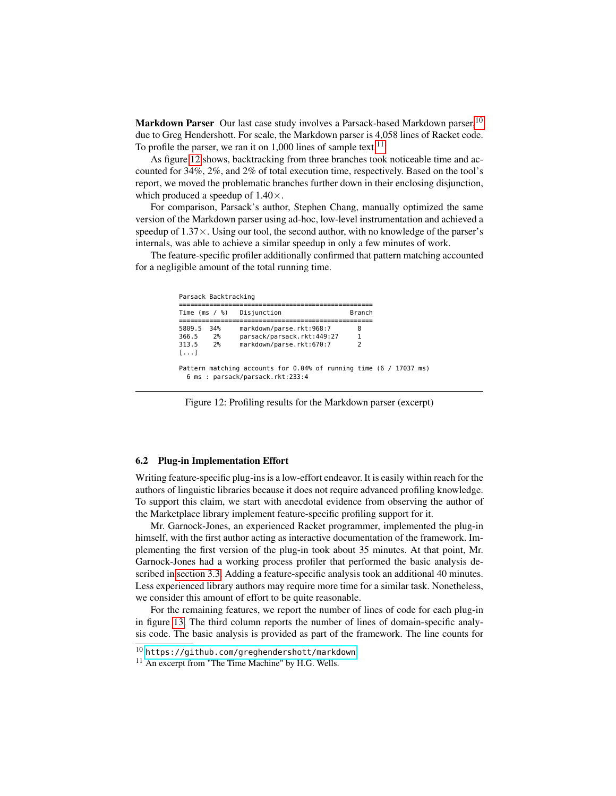Markdown Parser Our last case study involves a Parsack-based Markdown parser, <sup>[10](#page-15-1)</sup> due to Greg Hendershott. For scale, the Markdown parser is 4,058 lines of Racket code. To profile the parser, we ran it on  $1,000$  lines of sample text.<sup>[11](#page-15-2)</sup>

As figure [12](#page-15-3) shows, backtracking from three branches took noticeable time and accounted for 34%, 2%, and 2% of total execution time, respectively. Based on the tool's report, we moved the problematic branches further down in their enclosing disjunction, which produced a speedup of  $1.40\times$ .

For comparison, Parsack's author, Stephen Chang, manually optimized the same version of the Markdown parser using ad-hoc, low-level instrumentation and achieved a speedup of  $1.37 \times$ . Using our tool, the second author, with no knowledge of the parser's internals, was able to achieve a similar speedup in only a few minutes of work.

The feature-specific profiler additionally confirmed that pattern matching accounted for a negligible amount of the total running time.

```
Parsack Backtracking
```

|                                |                    | Time $(ms / %)$ Disjunction                                                                            | Branch      |  |  |
|--------------------------------|--------------------|--------------------------------------------------------------------------------------------------------|-------------|--|--|
| 5809.5<br>366.5<br>313.5<br>11 | 34%<br>$2\%$<br>2% | markdown/parse.rkt:968:7<br>parsack/parsack.rkt:449:27<br>markdown/parse.rkt:670:7                     | 8<br>1<br>2 |  |  |
|                                |                    | Pattern matching accounts for 0.04% of running time (6 / 17037 ms)<br>6 ms : parsack/parsack.rkt:233:4 |             |  |  |

Figure 12: Profiling results for the Markdown parser (excerpt)

#### <span id="page-15-0"></span>6.2 Plug-in Implementation Effort

Writing feature-specific plug-ins is a low-effort endeavor. It is easily within reach for the authors of linguistic libraries because it does not require advanced profiling knowledge. To support this claim, we start with anecdotal evidence from observing the author of the Marketplace library implement feature-specific profiling support for it.

Mr. Garnock-Jones, an experienced Racket programmer, implemented the plug-in himself, with the first author acting as interactive documentation of the framework. Implementing the first version of the plug-in took about 35 minutes. At that point, Mr. Garnock-Jones had a working process profiler that performed the basic analysis described in [section 3.3.](#page-7-2) Adding a feature-specific analysis took an additional 40 minutes. Less experienced library authors may require more time for a similar task. Nonetheless, we consider this amount of effort to be quite reasonable.

For the remaining features, we report the number of lines of code for each plug-in in figure [13.](#page-16-0) The third column reports the number of lines of domain-specific analysis code. The basic analysis is provided as part of the framework. The line counts for

<span id="page-15-1"></span> $10$  <https://github.com/greghendershott/markdown>

<span id="page-15-2"></span><sup>&</sup>lt;sup>11</sup> An excerpt from "The Time Machine" by H.G. Wells.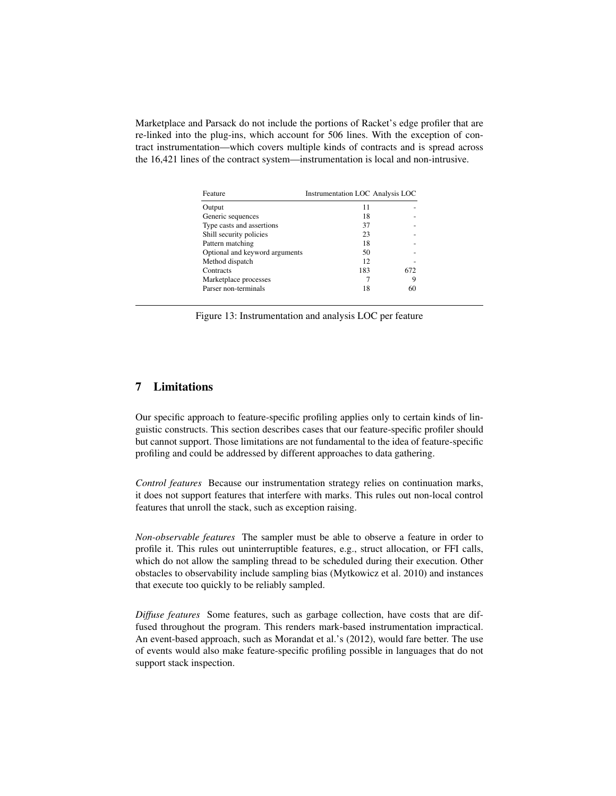Marketplace and Parsack do not include the portions of Racket's edge profiler that are re-linked into the plug-ins, which account for 506 lines. With the exception of contract instrumentation—which covers multiple kinds of contracts and is spread across the 16,421 lines of the contract system—instrumentation is local and non-intrusive.

<span id="page-16-0"></span>

| Feature                        | <b>Instrumentation LOC Analysis LOC</b> |     |
|--------------------------------|-----------------------------------------|-----|
| Output                         | 11                                      |     |
| Generic sequences              | 18                                      |     |
| Type casts and assertions      | 37                                      |     |
| Shill security policies        | 23                                      |     |
| Pattern matching               | 18                                      |     |
| Optional and keyword arguments | 50                                      |     |
| Method dispatch                | 12                                      |     |
| Contracts                      | 183                                     | 672 |
| Marketplace processes          |                                         |     |
| Parser non-terminals           | 18                                      |     |

Figure 13: Instrumentation and analysis LOC per feature

## 7 Limitations

Our specific approach to feature-specific profiling applies only to certain kinds of linguistic constructs. This section describes cases that our feature-specific profiler should but cannot support. Those limitations are not fundamental to the idea of feature-specific profiling and could be addressed by different approaches to data gathering.

*Control features* Because our instrumentation strategy relies on continuation marks, it does not support features that interfere with marks. This rules out non-local control features that unroll the stack, such as exception raising.

*Non-observable features* The sampler must be able to observe a feature in order to profile it. This rules out uninterruptible features, e.g., struct allocation, or FFI calls, which do not allow the sampling thread to be scheduled during their execution. Other obstacles to observability include sampling bias (Mytkowicz et al. 2010) and instances that execute too quickly to be reliably sampled.

*Diffuse features* Some features, such as garbage collection, have costs that are diffused throughout the program. This renders mark-based instrumentation impractical. An event-based approach, such as Morandat et al.'s (2012), would fare better. The use of events would also make feature-specific profiling possible in languages that do not support stack inspection.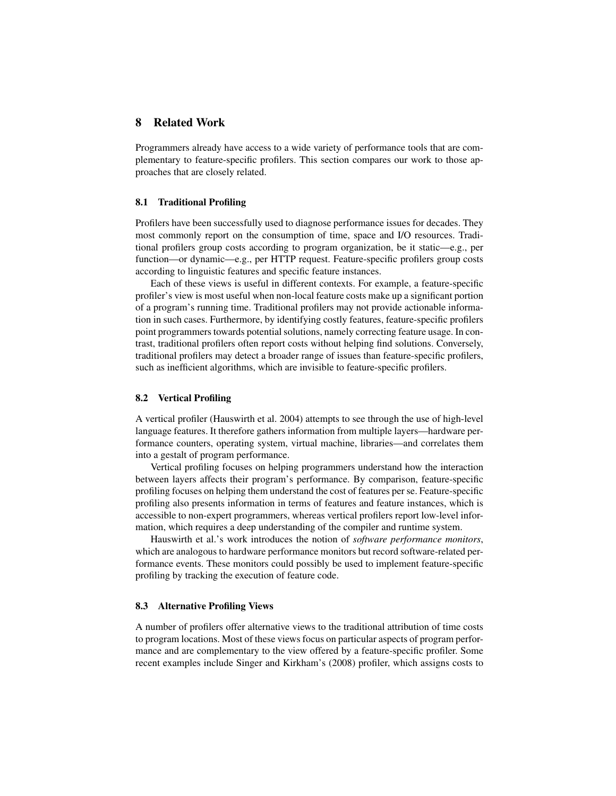## 8 Related Work

Programmers already have access to a wide variety of performance tools that are complementary to feature-specific profilers. This section compares our work to those approaches that are closely related.

### 8.1 Traditional Profiling

Profilers have been successfully used to diagnose performance issues for decades. They most commonly report on the consumption of time, space and I/O resources. Traditional profilers group costs according to program organization, be it static—e.g., per function—or dynamic—e.g., per HTTP request. Feature-specific profilers group costs according to linguistic features and specific feature instances.

Each of these views is useful in different contexts. For example, a feature-specific profiler's view is most useful when non-local feature costs make up a significant portion of a program's running time. Traditional profilers may not provide actionable information in such cases. Furthermore, by identifying costly features, feature-specific profilers point programmers towards potential solutions, namely correcting feature usage. In contrast, traditional profilers often report costs without helping find solutions. Conversely, traditional profilers may detect a broader range of issues than feature-specific profilers, such as inefficient algorithms, which are invisible to feature-specific profilers.

### 8.2 Vertical Profiling

A vertical profiler (Hauswirth et al. 2004) attempts to see through the use of high-level language features. It therefore gathers information from multiple layers—hardware performance counters, operating system, virtual machine, libraries—and correlates them into a gestalt of program performance.

Vertical profiling focuses on helping programmers understand how the interaction between layers affects their program's performance. By comparison, feature-specific profiling focuses on helping them understand the cost of features per se. Feature-specific profiling also presents information in terms of features and feature instances, which is accessible to non-expert programmers, whereas vertical profilers report low-level information, which requires a deep understanding of the compiler and runtime system.

Hauswirth et al.'s work introduces the notion of *software performance monitors*, which are analogous to hardware performance monitors but record software-related performance events. These monitors could possibly be used to implement feature-specific profiling by tracking the execution of feature code.

#### 8.3 Alternative Profiling Views

A number of profilers offer alternative views to the traditional attribution of time costs to program locations. Most of these views focus on particular aspects of program performance and are complementary to the view offered by a feature-specific profiler. Some recent examples include Singer and Kirkham's (2008) profiler, which assigns costs to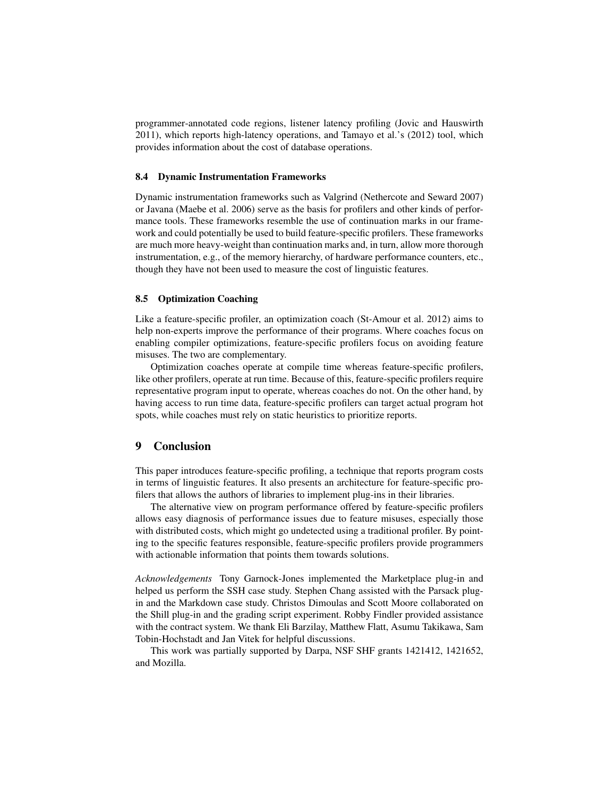programmer-annotated code regions, listener latency profiling (Jovic and Hauswirth 2011), which reports high-latency operations, and Tamayo et al.'s (2012) tool, which provides information about the cost of database operations.

#### 8.4 Dynamic Instrumentation Frameworks

Dynamic instrumentation frameworks such as Valgrind (Nethercote and Seward 2007) or Javana (Maebe et al. 2006) serve as the basis for profilers and other kinds of performance tools. These frameworks resemble the use of continuation marks in our framework and could potentially be used to build feature-specific profilers. These frameworks are much more heavy-weight than continuation marks and, in turn, allow more thorough instrumentation, e.g., of the memory hierarchy, of hardware performance counters, etc., though they have not been used to measure the cost of linguistic features.

#### 8.5 Optimization Coaching

Like a feature-specific profiler, an optimization coach (St-Amour et al. 2012) aims to help non-experts improve the performance of their programs. Where coaches focus on enabling compiler optimizations, feature-specific profilers focus on avoiding feature misuses. The two are complementary.

Optimization coaches operate at compile time whereas feature-specific profilers, like other profilers, operate at run time. Because of this, feature-specific profilers require representative program input to operate, whereas coaches do not. On the other hand, by having access to run time data, feature-specific profilers can target actual program hot spots, while coaches must rely on static heuristics to prioritize reports.

### 9 Conclusion

This paper introduces feature-specific profiling, a technique that reports program costs in terms of linguistic features. It also presents an architecture for feature-specific profilers that allows the authors of libraries to implement plug-ins in their libraries.

The alternative view on program performance offered by feature-specific profilers allows easy diagnosis of performance issues due to feature misuses, especially those with distributed costs, which might go undetected using a traditional profiler. By pointing to the specific features responsible, feature-specific profilers provide programmers with actionable information that points them towards solutions.

*Acknowledgements* Tony Garnock-Jones implemented the Marketplace plug-in and helped us perform the SSH case study. Stephen Chang assisted with the Parsack plugin and the Markdown case study. Christos Dimoulas and Scott Moore collaborated on the Shill plug-in and the grading script experiment. Robby Findler provided assistance with the contract system. We thank Eli Barzilay, Matthew Flatt, Asumu Takikawa, Sam Tobin-Hochstadt and Jan Vitek for helpful discussions.

This work was partially supported by Darpa, NSF SHF grants 1421412, 1421652, and Mozilla.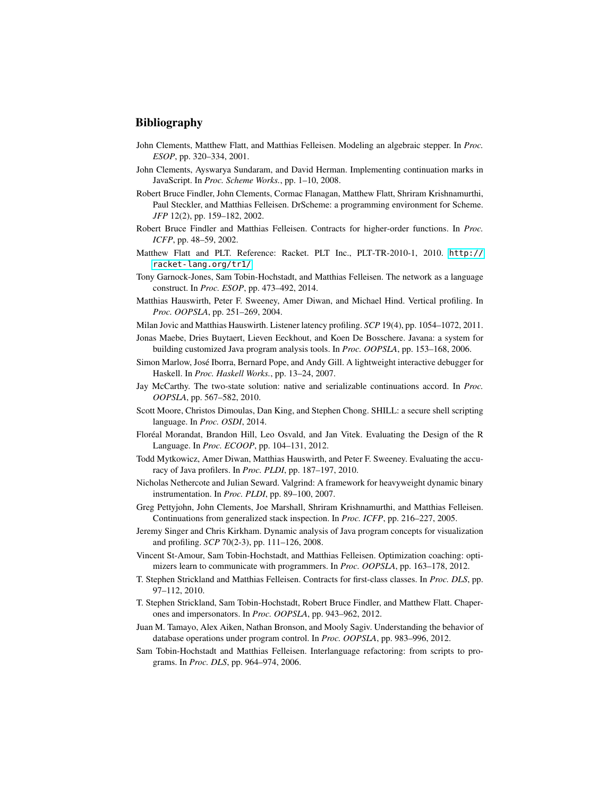### Bibliography

- John Clements, Matthew Flatt, and Matthias Felleisen. Modeling an algebraic stepper. In *Proc. ESOP*, pp. 320–334, 2001.
- John Clements, Ayswarya Sundaram, and David Herman. Implementing continuation marks in JavaScript. In *Proc. Scheme Works.*, pp. 1–10, 2008.
- Robert Bruce Findler, John Clements, Cormac Flanagan, Matthew Flatt, Shriram Krishnamurthi, Paul Steckler, and Matthias Felleisen. DrScheme: a programming environment for Scheme. *JFP* 12(2), pp. 159–182, 2002.
- Robert Bruce Findler and Matthias Felleisen. Contracts for higher-order functions. In *Proc. ICFP*, pp. 48–59, 2002.
- Matthew Flatt and PLT. Reference: Racket. PLT Inc., PLT-TR-2010-1, 2010. [http://](http://racket-lang.org/tr1/) [racket-lang.org/tr1/](http://racket-lang.org/tr1/)
- Tony Garnock-Jones, Sam Tobin-Hochstadt, and Matthias Felleisen. The network as a language construct. In *Proc. ESOP*, pp. 473–492, 2014.
- Matthias Hauswirth, Peter F. Sweeney, Amer Diwan, and Michael Hind. Vertical profiling. In *Proc. OOPSLA*, pp. 251–269, 2004.
- Milan Jovic and Matthias Hauswirth. Listener latency profiling. *SCP* 19(4), pp. 1054–1072, 2011.
- Jonas Maebe, Dries Buytaert, Lieven Eeckhout, and Koen De Bosschere. Javana: a system for building customized Java program analysis tools. In *Proc. OOPSLA*, pp. 153–168, 2006.
- Simon Marlow, José Iborra, Bernard Pope, and Andy Gill. A lightweight interactive debugger for Haskell. In *Proc. Haskell Works.*, pp. 13–24, 2007.
- Jay McCarthy. The two-state solution: native and serializable continuations accord. In *Proc. OOPSLA*, pp. 567–582, 2010.
- Scott Moore, Christos Dimoulas, Dan King, and Stephen Chong. SHILL: a secure shell scripting language. In *Proc. OSDI*, 2014.
- Floréal Morandat, Brandon Hill, Leo Osvald, and Jan Vitek. Evaluating the Design of the R Language. In *Proc. ECOOP*, pp. 104–131, 2012.
- Todd Mytkowicz, Amer Diwan, Matthias Hauswirth, and Peter F. Sweeney. Evaluating the accuracy of Java profilers. In *Proc. PLDI*, pp. 187–197, 2010.
- Nicholas Nethercote and Julian Seward. Valgrind: A framework for heavyweight dynamic binary instrumentation. In *Proc. PLDI*, pp. 89–100, 2007.
- Greg Pettyjohn, John Clements, Joe Marshall, Shriram Krishnamurthi, and Matthias Felleisen. Continuations from generalized stack inspection. In *Proc. ICFP*, pp. 216–227, 2005.
- Jeremy Singer and Chris Kirkham. Dynamic analysis of Java program concepts for visualization and profiling. *SCP* 70(2-3), pp. 111–126, 2008.
- Vincent St-Amour, Sam Tobin-Hochstadt, and Matthias Felleisen. Optimization coaching: optimizers learn to communicate with programmers. In *Proc. OOPSLA*, pp. 163–178, 2012.
- T. Stephen Strickland and Matthias Felleisen. Contracts for first-class classes. In *Proc. DLS*, pp. 97–112, 2010.
- T. Stephen Strickland, Sam Tobin-Hochstadt, Robert Bruce Findler, and Matthew Flatt. Chaperones and impersonators. In *Proc. OOPSLA*, pp. 943–962, 2012.
- Juan M. Tamayo, Alex Aiken, Nathan Bronson, and Mooly Sagiv. Understanding the behavior of database operations under program control. In *Proc. OOPSLA*, pp. 983–996, 2012.
- Sam Tobin-Hochstadt and Matthias Felleisen. Interlanguage refactoring: from scripts to programs. In *Proc. DLS*, pp. 964–974, 2006.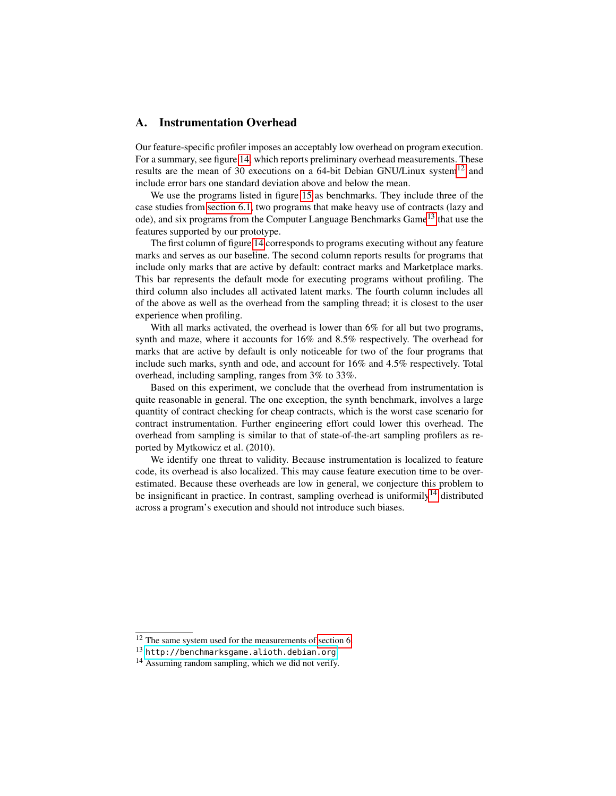## A. Instrumentation Overhead

Our feature-specific profiler imposes an acceptably low overhead on program execution. For a summary, see figure [14,](#page-21-0) which reports preliminary overhead measurements. These results are the mean of 30 executions on a 64-bit Debian GNU/Linux system<sup>[12](#page-20-0)</sup> and include error bars one standard deviation above and below the mean.

We use the programs listed in figure [15](#page-21-1) as benchmarks. They include three of the case studies from [section 6.1,](#page-12-1) two programs that make heavy use of contracts (lazy and ode), and six programs from the Computer Language Benchmarks Game<sup>[13](#page-20-1)</sup> that use the features supported by our prototype.

The first column of figure [14](#page-21-0) corresponds to programs executing without any feature marks and serves as our baseline. The second column reports results for programs that include only marks that are active by default: contract marks and Marketplace marks. This bar represents the default mode for executing programs without profiling. The third column also includes all activated latent marks. The fourth column includes all of the above as well as the overhead from the sampling thread; it is closest to the user experience when profiling.

With all marks activated, the overhead is lower than 6% for all but two programs, synth and maze, where it accounts for 16% and 8.5% respectively. The overhead for marks that are active by default is only noticeable for two of the four programs that include such marks, synth and ode, and account for 16% and 4.5% respectively. Total overhead, including sampling, ranges from 3% to 33%.

Based on this experiment, we conclude that the overhead from instrumentation is quite reasonable in general. The one exception, the synth benchmark, involves a large quantity of contract checking for cheap contracts, which is the worst case scenario for contract instrumentation. Further engineering effort could lower this overhead. The overhead from sampling is similar to that of state-of-the-art sampling profilers as reported by Mytkowicz et al. (2010).

We identify one threat to validity. Because instrumentation is localized to feature code, its overhead is also localized. This may cause feature execution time to be overestimated. Because these overheads are low in general, we conjecture this problem to be insignificant in practice. In contrast, sampling overhead is uniformily<sup>[14](#page-20-2)</sup> distributed across a program's execution and should not introduce such biases.

<span id="page-20-0"></span><sup>&</sup>lt;sup>12</sup> The same system used for the measurements of [section 6.](#page-12-0)

<span id="page-20-1"></span><sup>13</sup> <http://benchmarksgame.alioth.debian.org>

<span id="page-20-2"></span><sup>14</sup> Assuming random sampling, which we did not verify.